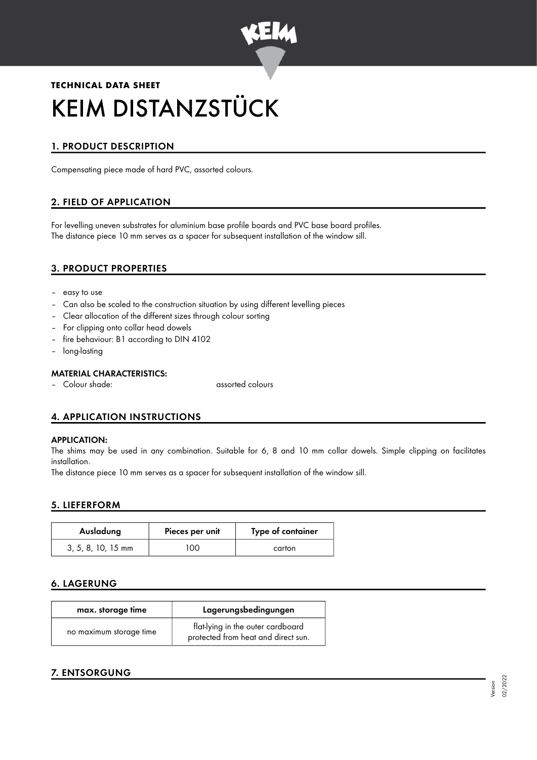

# **TECHNICAL DATA SHEET** KEIM DISTANZSTÜCK

## 1. PRODUCT DESCRIPTION

Compensating piece made of hard PVC, assorted colours.

## 2. FIELD OF APPLICATION

For levelling uneven substrates for aluminium base profile boards and PVC base board profiles. The distance piece 10 mm serves as a spacer for subsequent installation of the window sill.

## 3. PRODUCT PROPERTIES

- easy to use
- Can also be scaled to the construction situation by using different levelling pieces
- Clear allocation of the different sizes through colour sorting
- For clipping onto collar head dowels
- fire behaviour: B1 according to DIN 4102
- long-lasting

#### MATERIAL CHARACTERISTICS:

– Colour shade: assorted colours

## 4. APPLICATION INSTRUCTIONS

#### APPLICATION:

The shims may be used in any combination. Suitable for 6, 8 and 10 mm collar dowels. Simple clipping on facilitates installation.

The distance piece 10 mm serves as a spacer for subsequent installation of the window sill.

#### 5. LIEFERFORM

| Ausladung            | Pieces per unit | Type of container |
|----------------------|-----------------|-------------------|
| $3, 5, 8, 10, 15$ mm | OΟ              | carton            |

## 6. LAGERUNG

| max. storage time       | Lagerungsbedingungen                                                     |  |
|-------------------------|--------------------------------------------------------------------------|--|
| no maximum storage time | flat-lying in the outer cardboard<br>protected from heat and direct sun. |  |

## 7. ENTSORGUNG